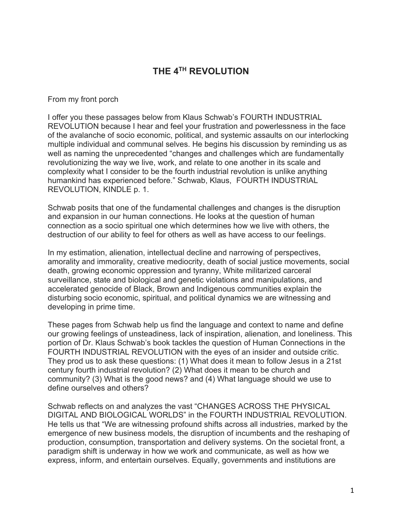# **THE 4TH REVOLUTION**

From my front porch

I offer you these passages below from Klaus Schwab's FOURTH INDUSTRIAL REVOLUTION because I hear and feel your frustration and powerlessness in the face of the avalanche of socio economic, political, and systemic assaults on our interlocking multiple individual and communal selves. He begins his discussion by reminding us as well as naming the unprecedented "changes and challenges which are fundamentally revolutionizing the way we live, work, and relate to one another in its scale and complexity what I consider to be the fourth industrial revolution is unlike anything humankind has experienced before." Schwab, Klaus, FOURTH INDUSTRIAL REVOLUTION, KINDLE p. 1.

Schwab posits that one of the fundamental challenges and changes is the disruption and expansion in our human connections. He looks at the question of human connection as a socio spiritual one which determines how we live with others, the destruction of our ability to feel for others as well as have access to our feelings.

In my estimation, alienation, intellectual decline and narrowing of perspectives, amorality and immorality, creative mediocrity, death of social justice movements, social death, growing economic oppression and tyranny, White militarized carceral surveillance, state and biological and genetic violations and manipulations, and accelerated genocide of Black, Brown and Indigenous communities explain the disturbing socio economic, spiritual, and political dynamics we are witnessing and developing in prime time.

These pages from Schwab help us find the language and context to name and define our growing feelings of unsteadiness, lack of inspiration, alienation, and loneliness. This portion of Dr. Klaus Schwab's book tackles the question of Human Connections in the FOURTH INDUSTRIAL REVOLUTION with the eyes of an insider and outside critic. They prod us to ask these questions: (1) What does it mean to follow Jesus in a 21st century fourth industrial revolution? (2) What does it mean to be church and community? (3) What is the good news? and (4) What language should we use to define ourselves and others?

Schwab reflects on and analyzes the vast "CHANGES ACROSS THE PHYSICAL DIGITAL AND BIOLOGICAL WORLDS" in the FOURTH INDUSTRIAL REVOLUTION. He tells us that "We are witnessing profound shifts across all industries, marked by the emergence of new business models, the disruption of incumbents and the reshaping of production, consumption, transportation and delivery systems. On the societal front, a paradigm shift is underway in how we work and communicate, as well as how we express, inform, and entertain ourselves. Equally, governments and institutions are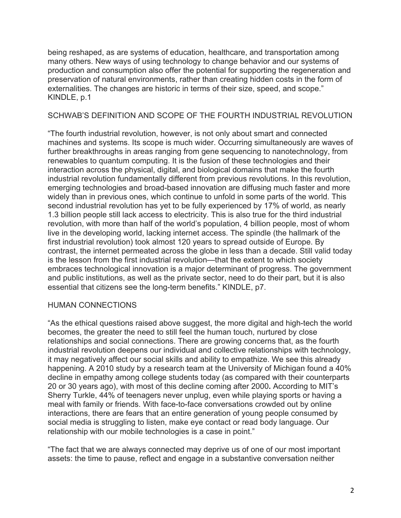being reshaped, as are systems of education, healthcare, and transportation among many others. New ways of using technology to change behavior and our systems of production and consumption also offer the potential for supporting the regeneration and preservation of natural environments, rather than creating hidden costs in the form of externalities. The changes are historic in terms of their size, speed, and scope." KINDLE, p.1

#### SCHWAB'S DEFINITION AND SCOPE OF THE FOURTH INDUSTRIAL REVOLUTION

"The fourth industrial revolution, however, is not only about smart and connected machines and systems. Its scope is much wider. Occurring simultaneously are waves of further breakthroughs in areas ranging from gene sequencing to nanotechnology, from renewables to quantum computing. It is the fusion of these technologies and their interaction across the physical, digital, and biological domains that make the fourth industrial revolution fundamentally different from previous revolutions. In this revolution, emerging technologies and broad-based innovation are diffusing much faster and more widely than in previous ones, which continue to unfold in some parts of the world. This second industrial revolution has yet to be fully experienced by 17% of world, as nearly 1.3 billion people still lack access to electricity. This is also true for the third industrial revolution, with more than half of the world's population, 4 billion people, most of whom live in the developing world, lacking internet access. The spindle (the hallmark of the first industrial revolution) took almost 120 years to spread outside of Europe. By contrast, the internet permeated across the globe in less than a decade. Still valid today is the lesson from the first industrial revolution—that the extent to which society embraces technological innovation is a major determinant of progress. The government and public institutions, as well as the private sector, need to do their part, but it is also essential that citizens see the long-term benefits." KINDLE, p7.

#### HUMAN CONNECTIONS

"As the ethical questions raised above suggest, the more digital and high-tech the world becomes, the greater the need to still feel the human touch, nurtured by close relationships and social connections. There are growing concerns that, as the fourth industrial revolution deepens our individual and collective relationships with technology, it may negatively affect our social skills and ability to empathize. We see this already happening. A 2010 study by a research team at the University of Michigan found a 40% decline in empathy among college students today (as compared with their counterparts 20 or 30 years ago), with most of this decline coming after 2000**.** According to MIT's Sherry Turkle, 44% of teenagers never unplug, even while playing sports or having a meal with family or friends. With face-to-face conversations crowded out by online interactions, there are fears that an entire generation of young people consumed by social media is struggling to listen, make eye contact or read body language. Our relationship with our mobile technologies is a case in point."

"The fact that we are always connected may deprive us of one of our most important assets: the time to pause, reflect and engage in a substantive conversation neither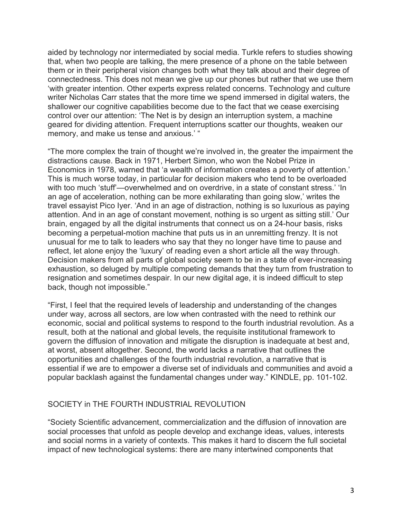aided by technology nor intermediated by social media. Turkle refers to studies showing that, when two people are talking, the mere presence of a phone on the table between them or in their peripheral vision changes both what they talk about and their degree of connectedness. This does not mean we give up our phones but rather that we use them 'with greater intention. Other experts express related concerns. Technology and culture writer Nicholas Carr states that the more time we spend immersed in digital waters, the shallower our cognitive capabilities become due to the fact that we cease exercising control over our attention: 'The Net is by design an interruption system, a machine geared for dividing attention. Frequent interruptions scatter our thoughts, weaken our memory, and make us tense and anxious.' "

"The more complex the train of thought we're involved in, the greater the impairment the distractions cause. Back in 1971, Herbert Simon, who won the Nobel Prize in Economics in 1978, warned that 'a wealth of information creates a poverty of attention.' This is much worse today, in particular for decision makers who tend to be overloaded with too much 'stuff'—overwhelmed and on overdrive, in a state of constant stress.' 'In an age of acceleration, nothing can be more exhilarating than going slow,' writes the travel essayist Pico Iyer. 'And in an age of distraction, nothing is so luxurious as paying attention. And in an age of constant movement, nothing is so urgent as sitting still.' Our brain, engaged by all the digital instruments that connect us on a 24-hour basis, risks becoming a perpetual-motion machine that puts us in an unremitting frenzy. It is not unusual for me to talk to leaders who say that they no longer have time to pause and reflect, let alone enjoy the 'luxury' of reading even a short article all the way through. Decision makers from all parts of global society seem to be in a state of ever-increasing exhaustion, so deluged by multiple competing demands that they turn from frustration to resignation and sometimes despair. In our new digital age, it is indeed difficult to step back, though not impossible."

"First, I feel that the required levels of leadership and understanding of the changes under way, across all sectors, are low when contrasted with the need to rethink our economic, social and political systems to respond to the fourth industrial revolution. As a result, both at the national and global levels, the requisite institutional framework to govern the diffusion of innovation and mitigate the disruption is inadequate at best and, at worst, absent altogether. Second, the world lacks a narrative that outlines the opportunities and challenges of the fourth industrial revolution, a narrative that is essential if we are to empower a diverse set of individuals and communities and avoid a popular backlash against the fundamental changes under way." KINDLE, pp. 101-102.

#### SOCIETY in THE FOURTH INDUSTRIAL REVOLUTION

"Society Scientific advancement, commercialization and the diffusion of innovation are social processes that unfold as people develop and exchange ideas, values, interests and social norms in a variety of contexts. This makes it hard to discern the full societal impact of new technological systems: there are many intertwined components that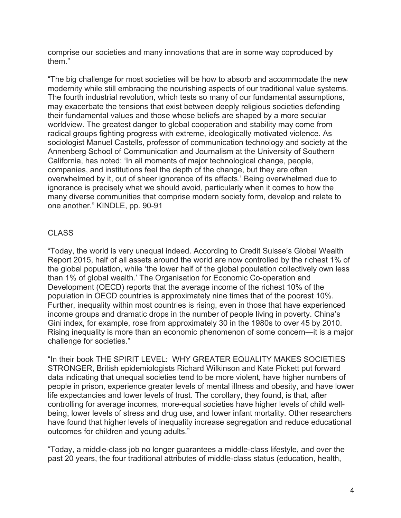comprise our societies and many innovations that are in some way coproduced by them."

"The big challenge for most societies will be how to absorb and accommodate the new modernity while still embracing the nourishing aspects of our traditional value systems. The fourth industrial revolution, which tests so many of our fundamental assumptions, may exacerbate the tensions that exist between deeply religious societies defending their fundamental values and those whose beliefs are shaped by a more secular worldview. The greatest danger to global cooperation and stability may come from radical groups fighting progress with extreme, ideologically motivated violence. As sociologist Manuel Castells, professor of communication technology and society at the Annenberg School of Communication and Journalism at the University of Southern California, has noted: 'In all moments of major technological change, people, companies, and institutions feel the depth of the change, but they are often overwhelmed by it, out of sheer ignorance of its effects.' Being overwhelmed due to ignorance is precisely what we should avoid, particularly when it comes to how the many diverse communities that comprise modern society form, develop and relate to one another." KINDLE, pp. 90-91

## **CLASS**

"Today, the world is very unequal indeed. According to Credit Suisse's Global Wealth Report 2015, half of all assets around the world are now controlled by the richest 1% of the global population, while 'the lower half of the global population collectively own less than 1% of global wealth.' The Organisation for Economic Co-operation and Development (OECD) reports that the average income of the richest 10% of the population in OECD countries is approximately nine times that of the poorest 10%. Further, inequality within most countries is rising, even in those that have experienced income groups and dramatic drops in the number of people living in poverty. China's Gini index, for example, rose from approximately 30 in the 1980s to over 45 by 2010. Rising inequality is more than an economic phenomenon of some concern—it is a major challenge for societies."

"In their book THE SPIRIT LEVEL: WHY GREATER EQUALITY MAKES SOCIETIES STRONGER, British epidemiologists Richard Wilkinson and Kate Pickett put forward data indicating that unequal societies tend to be more violent, have higher numbers of people in prison, experience greater levels of mental illness and obesity, and have lower life expectancies and lower levels of trust. The corollary, they found, is that, after controlling for average incomes, more-equal societies have higher levels of child wellbeing, lower levels of stress and drug use, and lower infant mortality. Other researchers have found that higher levels of inequality increase segregation and reduce educational outcomes for children and young adults."

"Today, a middle-class job no longer guarantees a middle-class lifestyle, and over the past 20 years, the four traditional attributes of middle-class status (education, health,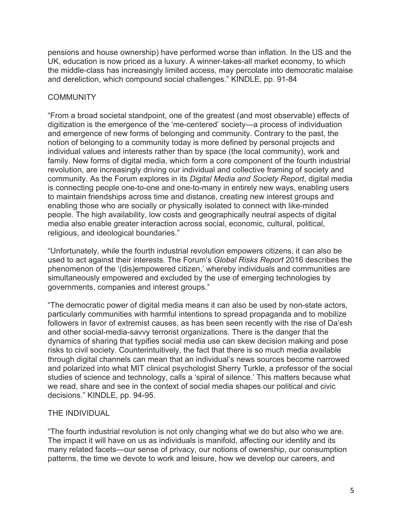pensions and house ownership) have performed worse than inflation. In the US and the UK, education is now priced as a luxury. A winner-takes-all market economy, to which the middle-class has increasingly limited access, may percolate into democratic malaise and dereliction, which compound social challenges." KINDLE, pp. 91-84

### **COMMUNITY**

"From a broad societal standpoint, one of the greatest (and most observable) effects of digitization is the emergence of the 'me-centered' society—a process of individuation and emergence of new forms of belonging and community. Contrary to the past, the notion of belonging to a community today is more defined by personal projects and individual values and interests rather than by space (the local community), work and family. New forms of digital media, which form a core component of the fourth industrial revolution, are increasingly driving our individual and collective framing of society and community. As the Forum explores in its *Digital Media and Society Report*, digital media is connecting people one-to-one and one-to-many in entirely new ways, enabling users to maintain friendships across time and distance, creating new interest groups and enabling those who are socially or physically isolated to connect with like-minded people. The high availability, low costs and geographically neutral aspects of digital media also enable greater interaction across social, economic, cultural, political, religious, and ideological boundaries."

"Unfortunately, while the fourth industrial revolution empowers citizens, it can also be used to act against their interests. The Forum's *Global Risks Report* 2016 describes the phenomenon of the '(dis)empowered citizen,' whereby individuals and communities are simultaneously empowered and excluded by the use of emerging technologies by governments, companies and interest groups."

"The democratic power of digital media means it can also be used by non-state actors, particularly communities with harmful intentions to spread propaganda and to mobilize followers in favor of extremist causes, as has been seen recently with the rise of Da'esh and other social-media-savvy terrorist organizations. There is the danger that the dynamics of sharing that typifies social media use can skew decision making and pose risks to civil society. Counterintuitively, the fact that there is so much media available through digital channels can mean that an individual's news sources become narrowed and polarized into what MIT clinical psychologist Sherry Turkle, a professor of the social studies of science and technology, calls a 'spiral of silence.' This matters because what we read, share and see in the context of social media shapes our political and civic decisions." KINDLE, pp. 94-95.

#### THE INDIVIDUAL

"The fourth industrial revolution is not only changing what we do but also who we are. The impact it will have on us as individuals is manifold, affecting our identity and its many related facets—our sense of privacy, our notions of ownership, our consumption patterns, the time we devote to work and leisure, how we develop our careers, and